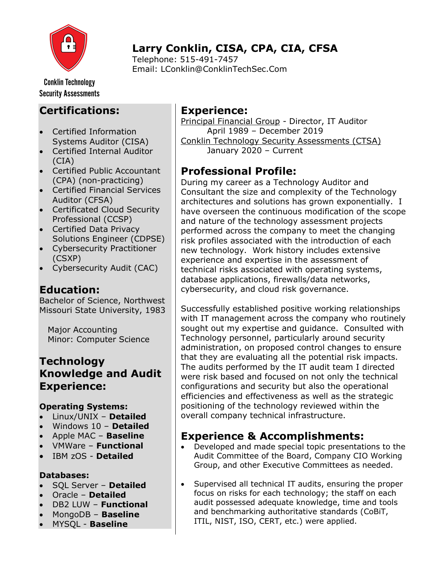

# Larry Conklin, CISA, CPA, CIA, CFSA

Telephone: 515-491-7457 Email: LConklin@ConklinTechSec.Com

**Conklin Technology Security Assessments** 

### Certifications:

- Certified Information Systems Auditor (CISA)
- Certified Internal Auditor (CIA)
- Certified Public Accountant (CPA) (non-practicing)
- Certified Financial Services Auditor (CFSA)
- Certificated Cloud Security Professional (CCSP)
- Certified Data Privacy Solutions Engineer (CDPSE)
- Cybersecurity Practitioner (CSXP)
- Cybersecurity Audit (CAC)

### Education:

Bachelor of Science, Northwest Missouri State University, 1983

 Major Accounting Minor: Computer Science

#### **Technology** Knowledge and Audit Experience:

#### Operating Systems:

- Linux/UNIX Detailed
- Windows 10 Detailed
- Apple MAC **Baseline**
- VMWare Functional
- IBM zOS Detailed

#### Databases:

- SQL Server Detailed
- Oracle Detailed
- DB2 LUW Functional
- MongoDB Baseline
- MYSQL Baseline

#### Experience:

Principal Financial Group - Director, IT Auditor April 1989 – December 2019 Conklin Technology Security Assessments (CTSA) January 2020 – Current

## Professional Profile:

During my career as a Technology Auditor and Consultant the size and complexity of the Technology architectures and solutions has grown exponentially. I have overseen the continuous modification of the scope and nature of the technology assessment projects performed across the company to meet the changing risk profiles associated with the introduction of each new technology. Work history includes extensive experience and expertise in the assessment of technical risks associated with operating systems, database applications, firewalls/data networks, cybersecurity, and cloud risk governance.

Successfully established positive working relationships with IT management across the company who routinely sought out my expertise and guidance. Consulted with Technology personnel, particularly around security administration, on proposed control changes to ensure that they are evaluating all the potential risk impacts. The audits performed by the IT audit team I directed were risk based and focused on not only the technical configurations and security but also the operational efficiencies and effectiveness as well as the strategic positioning of the technology reviewed within the overall company technical infrastructure.

### Experience & Accomplishments:

- Developed and made special topic presentations to the Audit Committee of the Board, Company CIO Working Group, and other Executive Committees as needed.
- Supervised all technical IT audits, ensuring the proper focus on risks for each technology; the staff on each audit possessed adequate knowledge, time and tools and benchmarking authoritative standards (CoBiT, ITIL, NIST, ISO, CERT, etc.) were applied.